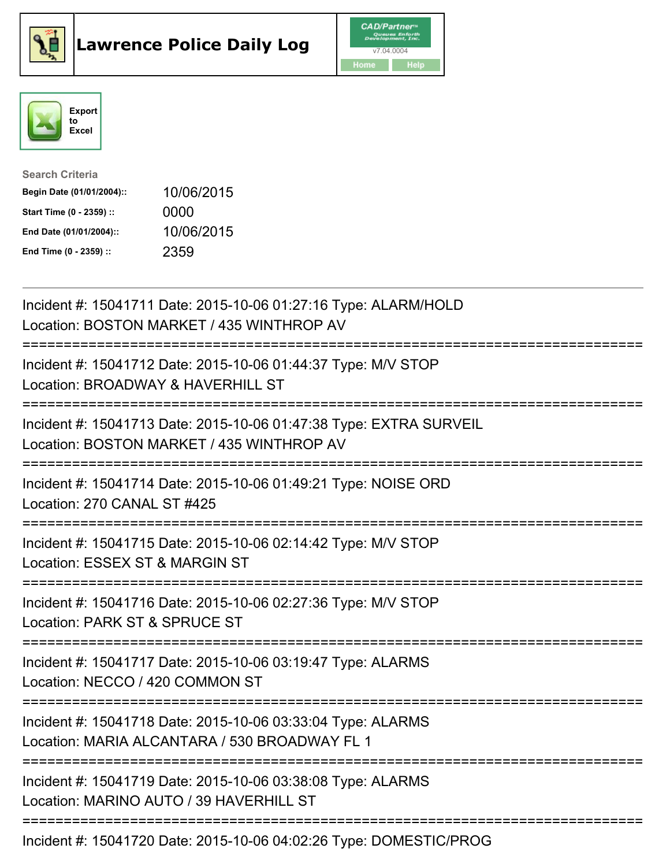





| <b>Search Criteria</b>    |            |
|---------------------------|------------|
| Begin Date (01/01/2004):: | 10/06/2015 |
| Start Time (0 - 2359) ::  | 0000       |
| End Date (01/01/2004)::   | 10/06/2015 |
| End Time (0 - 2359) ::    | 2359       |

| Incident #: 15041711 Date: 2015-10-06 01:27:16 Type: ALARM/HOLD<br>Location: BOSTON MARKET / 435 WINTHROP AV                                                 |
|--------------------------------------------------------------------------------------------------------------------------------------------------------------|
| Incident #: 15041712 Date: 2015-10-06 01:44:37 Type: M/V STOP<br>Location: BROADWAY & HAVERHILL ST                                                           |
| Incident #: 15041713 Date: 2015-10-06 01:47:38 Type: EXTRA SURVEIL<br>Location: BOSTON MARKET / 435 WINTHROP AV                                              |
| Incident #: 15041714 Date: 2015-10-06 01:49:21 Type: NOISE ORD<br>Location: 270 CANAL ST #425                                                                |
| Incident #: 15041715 Date: 2015-10-06 02:14:42 Type: M/V STOP<br>Location: ESSEX ST & MARGIN ST<br>===================                                       |
| Incident #: 15041716 Date: 2015-10-06 02:27:36 Type: M/V STOP<br>Location: PARK ST & SPRUCE ST<br>==========================                                 |
| Incident #: 15041717 Date: 2015-10-06 03:19:47 Type: ALARMS<br>Location: NECCO / 420 COMMON ST                                                               |
| ---------------------<br>Incident #: 15041718 Date: 2015-10-06 03:33:04 Type: ALARMS<br>Location: MARIA ALCANTARA / 530 BROADWAY FL 1<br>------------------- |
| Incident #: 15041719 Date: 2015-10-06 03:38:08 Type: ALARMS<br>Location: MARINO AUTO / 39 HAVERHILL ST                                                       |
| Incident #: 15041720 Date: 2015-10-06 04:02:26 Type: DOMESTIC/PROG                                                                                           |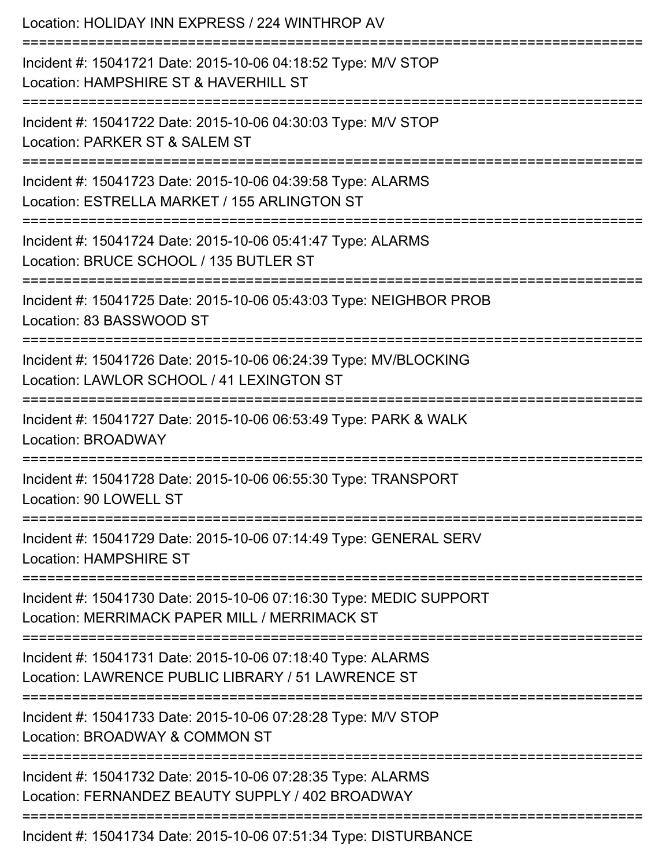| Location: HOLIDAY INN EXPRESS / 224 WINTHROP AV<br>========================                                         |
|---------------------------------------------------------------------------------------------------------------------|
| Incident #: 15041721 Date: 2015-10-06 04:18:52 Type: M/V STOP<br>Location: HAMPSHIRE ST & HAVERHILL ST              |
| Incident #: 15041722 Date: 2015-10-06 04:30:03 Type: M/V STOP<br>Location: PARKER ST & SALEM ST                     |
| Incident #: 15041723 Date: 2015-10-06 04:39:58 Type: ALARMS<br>Location: ESTRELLA MARKET / 155 ARLINGTON ST         |
| Incident #: 15041724 Date: 2015-10-06 05:41:47 Type: ALARMS<br>Location: BRUCE SCHOOL / 135 BUTLER ST               |
| Incident #: 15041725 Date: 2015-10-06 05:43:03 Type: NEIGHBOR PROB<br>Location: 83 BASSWOOD ST                      |
| Incident #: 15041726 Date: 2015-10-06 06:24:39 Type: MV/BLOCKING<br>Location: LAWLOR SCHOOL / 41 LEXINGTON ST       |
| Incident #: 15041727 Date: 2015-10-06 06:53:49 Type: PARK & WALK<br>Location: BROADWAY                              |
| Incident #: 15041728 Date: 2015-10-06 06:55:30 Type: TRANSPORT<br>Location: 90 LOWELL ST                            |
| Incident #: 15041729 Date: 2015-10-06 07:14:49 Type: GENERAL SERV<br><b>Location: HAMPSHIRE ST</b>                  |
| Incident #: 15041730 Date: 2015-10-06 07:16:30 Type: MEDIC SUPPORT<br>Location: MERRIMACK PAPER MILL / MERRIMACK ST |
| Incident #: 15041731 Date: 2015-10-06 07:18:40 Type: ALARMS<br>Location: LAWRENCE PUBLIC LIBRARY / 51 LAWRENCE ST   |
| Incident #: 15041733 Date: 2015-10-06 07:28:28 Type: M/V STOP<br>Location: BROADWAY & COMMON ST                     |
| Incident #: 15041732 Date: 2015-10-06 07:28:35 Type: ALARMS<br>Location: FERNANDEZ BEAUTY SUPPLY / 402 BROADWAY     |
| Incident #: 15041734 Date: 2015-10-06 07:51:34 Type: DISTURBANCE                                                    |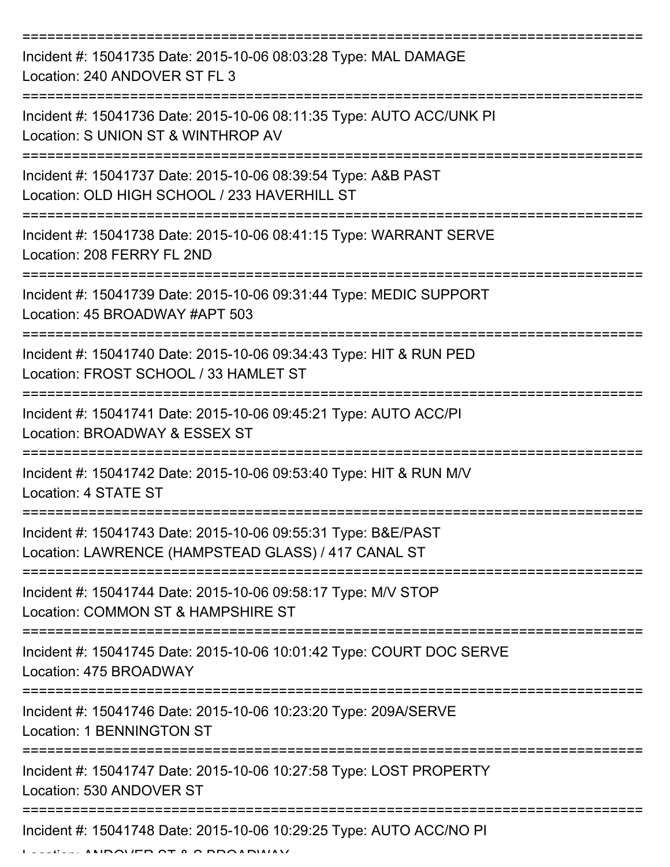| Incident #: 15041735 Date: 2015-10-06 08:03:28 Type: MAL DAMAGE<br>Location: 240 ANDOVER ST FL 3                                    |
|-------------------------------------------------------------------------------------------------------------------------------------|
| Incident #: 15041736 Date: 2015-10-06 08:11:35 Type: AUTO ACC/UNK PI<br>Location: S UNION ST & WINTHROP AV                          |
| Incident #: 15041737 Date: 2015-10-06 08:39:54 Type: A&B PAST<br>Location: OLD HIGH SCHOOL / 233 HAVERHILL ST                       |
| Incident #: 15041738 Date: 2015-10-06 08:41:15 Type: WARRANT SERVE<br>Location: 208 FERRY FL 2ND                                    |
| Incident #: 15041739 Date: 2015-10-06 09:31:44 Type: MEDIC SUPPORT<br>Location: 45 BROADWAY #APT 503                                |
| Incident #: 15041740 Date: 2015-10-06 09:34:43 Type: HIT & RUN PED<br>Location: FROST SCHOOL / 33 HAMLET ST                         |
| Incident #: 15041741 Date: 2015-10-06 09:45:21 Type: AUTO ACC/PI<br>Location: BROADWAY & ESSEX ST                                   |
| Incident #: 15041742 Date: 2015-10-06 09:53:40 Type: HIT & RUN M/V<br>Location: 4 STATE ST                                          |
| Incident #: 15041743 Date: 2015-10-06 09:55:31 Type: B&E/PAST<br>Location: LAWRENCE (HAMPSTEAD GLASS) / 417 CANAL ST                |
| Incident #: 15041744 Date: 2015-10-06 09:58:17 Type: M/V STOP<br>Location: COMMON ST & HAMPSHIRE ST                                 |
| Incident #: 15041745 Date: 2015-10-06 10:01:42 Type: COURT DOC SERVE<br>Location: 475 BROADWAY                                      |
| ============================<br>Incident #: 15041746 Date: 2015-10-06 10:23:20 Type: 209A/SERVE<br><b>Location: 1 BENNINGTON ST</b> |
| Incident #: 15041747 Date: 2015-10-06 10:27:58 Type: LOST PROPERTY<br>Location: 530 ANDOVER ST                                      |
| Incident #: 15041748 Date: 2015-10-06 10:29:25 Type: AUTO ACC/NO PI                                                                 |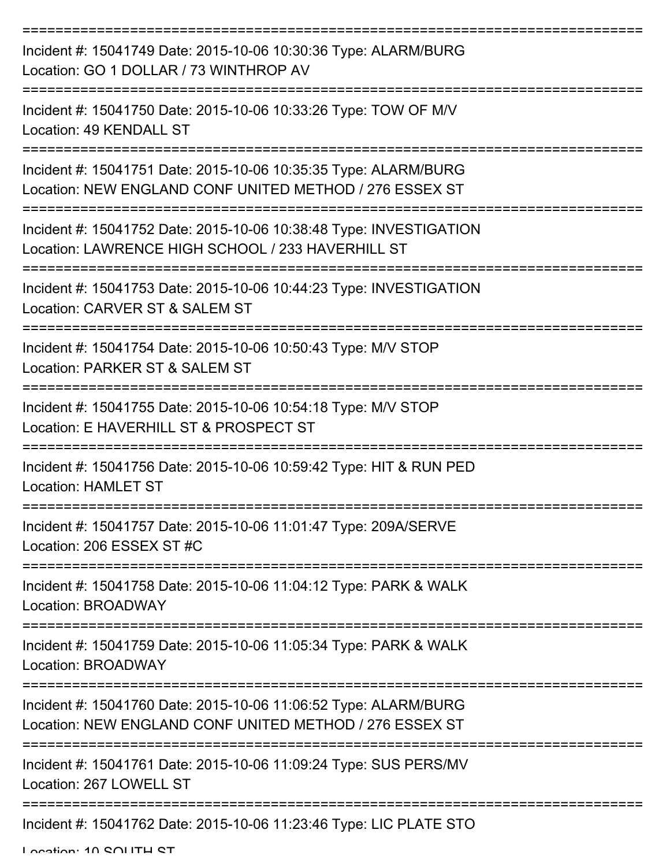| Incident #: 15041749 Date: 2015-10-06 10:30:36 Type: ALARM/BURG<br>Location: GO 1 DOLLAR / 73 WINTHROP AV                  |
|----------------------------------------------------------------------------------------------------------------------------|
| Incident #: 15041750 Date: 2015-10-06 10:33:26 Type: TOW OF M/V<br>Location: 49 KENDALL ST                                 |
| Incident #: 15041751 Date: 2015-10-06 10:35:35 Type: ALARM/BURG<br>Location: NEW ENGLAND CONF UNITED METHOD / 276 ESSEX ST |
| Incident #: 15041752 Date: 2015-10-06 10:38:48 Type: INVESTIGATION<br>Location: LAWRENCE HIGH SCHOOL / 233 HAVERHILL ST    |
| Incident #: 15041753 Date: 2015-10-06 10:44:23 Type: INVESTIGATION<br>Location: CARVER ST & SALEM ST                       |
| Incident #: 15041754 Date: 2015-10-06 10:50:43 Type: M/V STOP<br>Location: PARKER ST & SALEM ST                            |
| Incident #: 15041755 Date: 2015-10-06 10:54:18 Type: M/V STOP<br>Location: E HAVERHILL ST & PROSPECT ST                    |
| Incident #: 15041756 Date: 2015-10-06 10:59:42 Type: HIT & RUN PED<br><b>Location: HAMLET ST</b>                           |
| Incident #: 15041757 Date: 2015-10-06 11:01:47 Type: 209A/SERVE<br>Location: 206 ESSEX ST #C                               |
| Incident #: 15041758 Date: 2015-10-06 11:04:12 Type: PARK & WALK<br>Location: BROADWAY                                     |
| Incident #: 15041759 Date: 2015-10-06 11:05:34 Type: PARK & WALK<br>Location: BROADWAY                                     |
| Incident #: 15041760 Date: 2015-10-06 11:06:52 Type: ALARM/BURG<br>Location: NEW ENGLAND CONF UNITED METHOD / 276 ESSEX ST |
| Incident #: 15041761 Date: 2015-10-06 11:09:24 Type: SUS PERS/MV<br>Location: 267 LOWELL ST                                |
| Incident #: 15041762 Date: 2015-10-06 11:23:46 Type: LIC PLATE STO                                                         |

Location: 10 SOUTH ST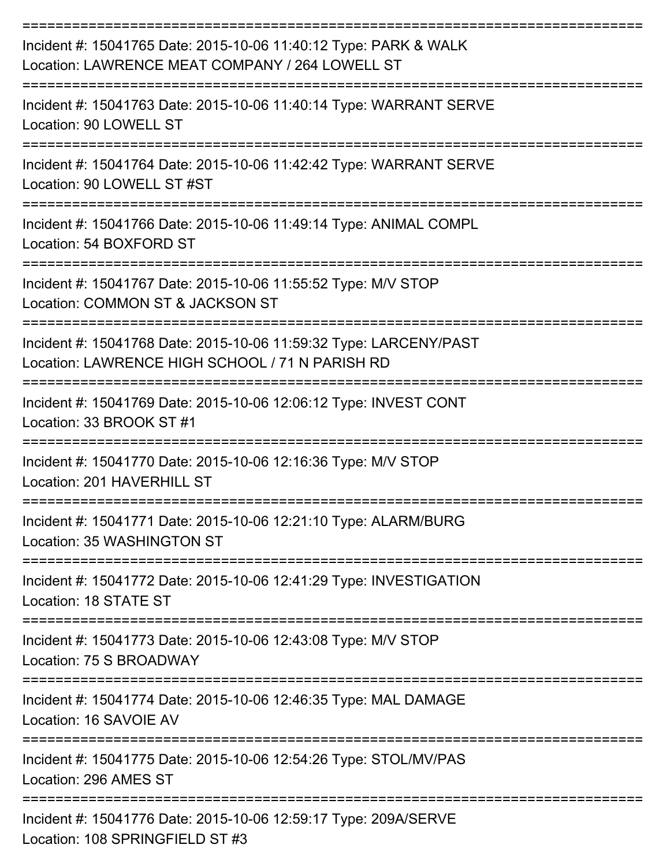| Incident #: 15041765 Date: 2015-10-06 11:40:12 Type: PARK & WALK<br>Location: LAWRENCE MEAT COMPANY / 264 LOWELL ST  |
|----------------------------------------------------------------------------------------------------------------------|
| Incident #: 15041763 Date: 2015-10-06 11:40:14 Type: WARRANT SERVE<br>Location: 90 LOWELL ST                         |
| Incident #: 15041764 Date: 2015-10-06 11:42:42 Type: WARRANT SERVE<br>Location: 90 LOWELL ST #ST                     |
| Incident #: 15041766 Date: 2015-10-06 11:49:14 Type: ANIMAL COMPL<br>Location: 54 BOXFORD ST                         |
| Incident #: 15041767 Date: 2015-10-06 11:55:52 Type: M/V STOP<br>Location: COMMON ST & JACKSON ST                    |
| Incident #: 15041768 Date: 2015-10-06 11:59:32 Type: LARCENY/PAST<br>Location: LAWRENCE HIGH SCHOOL / 71 N PARISH RD |
| Incident #: 15041769 Date: 2015-10-06 12:06:12 Type: INVEST CONT<br>Location: 33 BROOK ST #1                         |
| Incident #: 15041770 Date: 2015-10-06 12:16:36 Type: M/V STOP<br>Location: 201 HAVERHILL ST                          |
| Incident #: 15041771 Date: 2015-10-06 12:21:10 Type: ALARM/BURG<br>Location: 35 WASHINGTON ST                        |
| Incident #: 15041772 Date: 2015-10-06 12:41:29 Type: INVESTIGATION<br>Location: 18 STATE ST                          |
| Incident #: 15041773 Date: 2015-10-06 12:43:08 Type: M/V STOP<br>Location: 75 S BROADWAY                             |
| Incident #: 15041774 Date: 2015-10-06 12:46:35 Type: MAL DAMAGE<br>Location: 16 SAVOIE AV                            |
| Incident #: 15041775 Date: 2015-10-06 12:54:26 Type: STOL/MV/PAS<br>Location: 296 AMES ST                            |
| Incident #: 15041776 Date: 2015-10-06 12:59:17 Type: 209A/SERVE<br>Location: 108 SPRINGFIELD ST #3                   |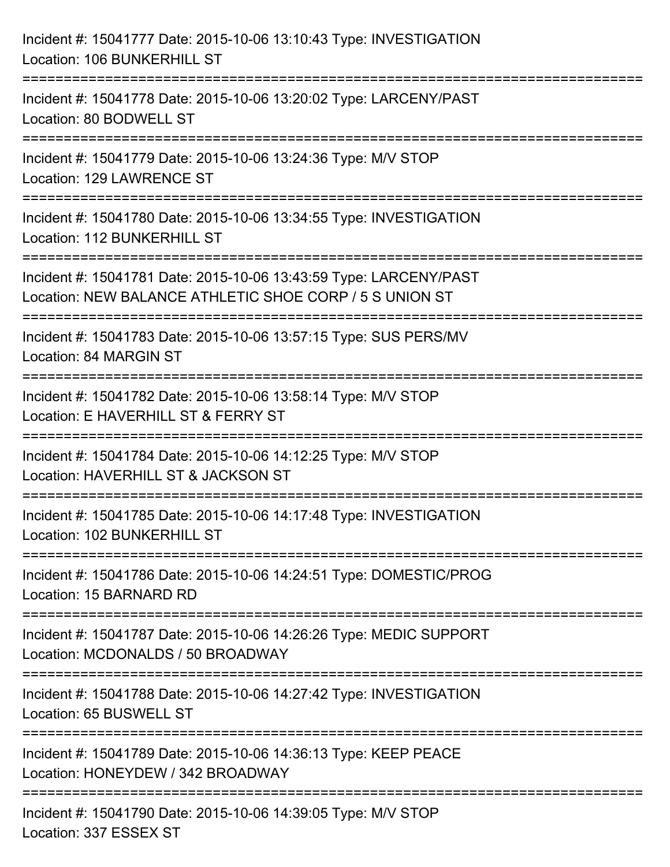| Incident #: 15041777 Date: 2015-10-06 13:10:43 Type: INVESTIGATION<br>Location: 106 BUNKERHILL ST                                  |
|------------------------------------------------------------------------------------------------------------------------------------|
| Incident #: 15041778 Date: 2015-10-06 13:20:02 Type: LARCENY/PAST<br>Location: 80 BODWELL ST                                       |
| Incident #: 15041779 Date: 2015-10-06 13:24:36 Type: M/V STOP<br>Location: 129 LAWRENCE ST                                         |
| Incident #: 15041780 Date: 2015-10-06 13:34:55 Type: INVESTIGATION<br>Location: 112 BUNKERHILL ST                                  |
| Incident #: 15041781 Date: 2015-10-06 13:43:59 Type: LARCENY/PAST<br>Location: NEW BALANCE ATHLETIC SHOE CORP / 5 S UNION ST       |
| Incident #: 15041783 Date: 2015-10-06 13:57:15 Type: SUS PERS/MV<br>Location: 84 MARGIN ST                                         |
| Incident #: 15041782 Date: 2015-10-06 13:58:14 Type: M/V STOP<br>Location: E HAVERHILL ST & FERRY ST                               |
| Incident #: 15041784 Date: 2015-10-06 14:12:25 Type: M/V STOP<br>Location: HAVERHILL ST & JACKSON ST                               |
| Incident #: 15041785 Date: 2015-10-06 14:17:48 Type: INVESTIGATION<br>Location: 102 BUNKERHILL ST                                  |
| Incident #: 15041786 Date: 2015-10-06 14:24:51 Type: DOMESTIC/PROG<br>Location: 15 BARNARD RD                                      |
| Incident #: 15041787 Date: 2015-10-06 14:26:26 Type: MEDIC SUPPORT<br>Location: MCDONALDS / 50 BROADWAY                            |
| ---------------------------------<br>Incident #: 15041788 Date: 2015-10-06 14:27:42 Type: INVESTIGATION<br>Location: 65 BUSWELL ST |
| Incident #: 15041789 Date: 2015-10-06 14:36:13 Type: KEEP PEACE<br>Location: HONEYDEW / 342 BROADWAY                               |
| Incident #: 15041790 Date: 2015-10-06 14:39:05 Type: M/V STOP<br>Location: 337 ESSEX ST                                            |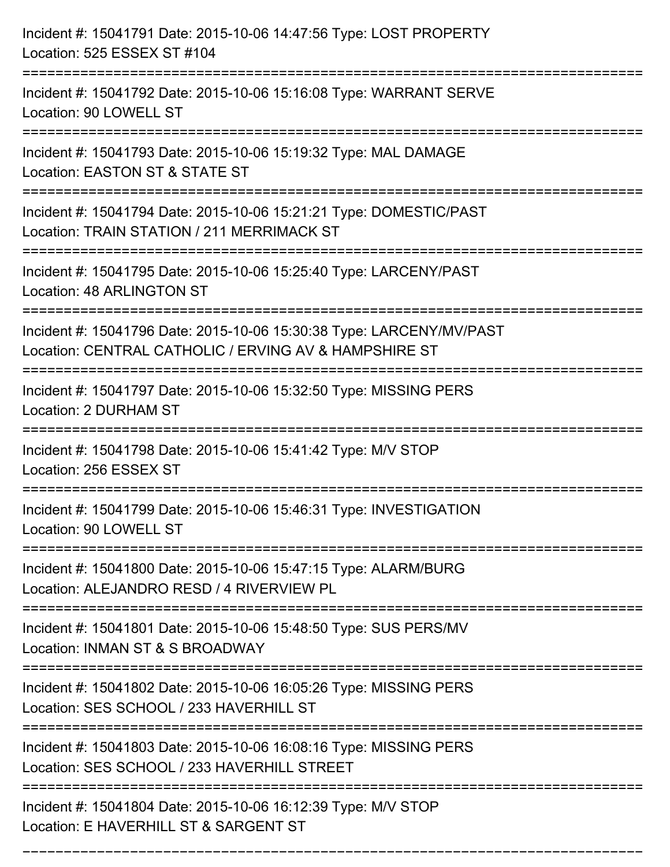| Incident #: 15041791 Date: 2015-10-06 14:47:56 Type: LOST PROPERTY<br>Location: 525 ESSEX ST #104                             |
|-------------------------------------------------------------------------------------------------------------------------------|
| :==============<br>Incident #: 15041792 Date: 2015-10-06 15:16:08 Type: WARRANT SERVE<br>Location: 90 LOWELL ST               |
| Incident #: 15041793 Date: 2015-10-06 15:19:32 Type: MAL DAMAGE<br>Location: EASTON ST & STATE ST                             |
| Incident #: 15041794 Date: 2015-10-06 15:21:21 Type: DOMESTIC/PAST<br>Location: TRAIN STATION / 211 MERRIMACK ST              |
| Incident #: 15041795 Date: 2015-10-06 15:25:40 Type: LARCENY/PAST<br>Location: 48 ARLINGTON ST                                |
| Incident #: 15041796 Date: 2015-10-06 15:30:38 Type: LARCENY/MV/PAST<br>Location: CENTRAL CATHOLIC / ERVING AV & HAMPSHIRE ST |
| Incident #: 15041797 Date: 2015-10-06 15:32:50 Type: MISSING PERS<br>Location: 2 DURHAM ST                                    |
| Incident #: 15041798 Date: 2015-10-06 15:41:42 Type: M/V STOP<br>Location: 256 ESSEX ST                                       |
| Incident #: 15041799 Date: 2015-10-06 15:46:31 Type: INVESTIGATION<br>Location: 90 LOWELL ST                                  |
| Incident #: 15041800 Date: 2015-10-06 15:47:15 Type: ALARM/BURG<br>Location: ALEJANDRO RESD / 4 RIVERVIEW PL                  |
| Incident #: 15041801 Date: 2015-10-06 15:48:50 Type: SUS PERS/MV<br>Location: INMAN ST & S BROADWAY                           |
| Incident #: 15041802 Date: 2015-10-06 16:05:26 Type: MISSING PERS<br>Location: SES SCHOOL / 233 HAVERHILL ST                  |
| Incident #: 15041803 Date: 2015-10-06 16:08:16 Type: MISSING PERS<br>Location: SES SCHOOL / 233 HAVERHILL STREET              |
| Incident #: 15041804 Date: 2015-10-06 16:12:39 Type: M/V STOP<br>Location: E HAVERHILL ST & SARGENT ST                        |

===========================================================================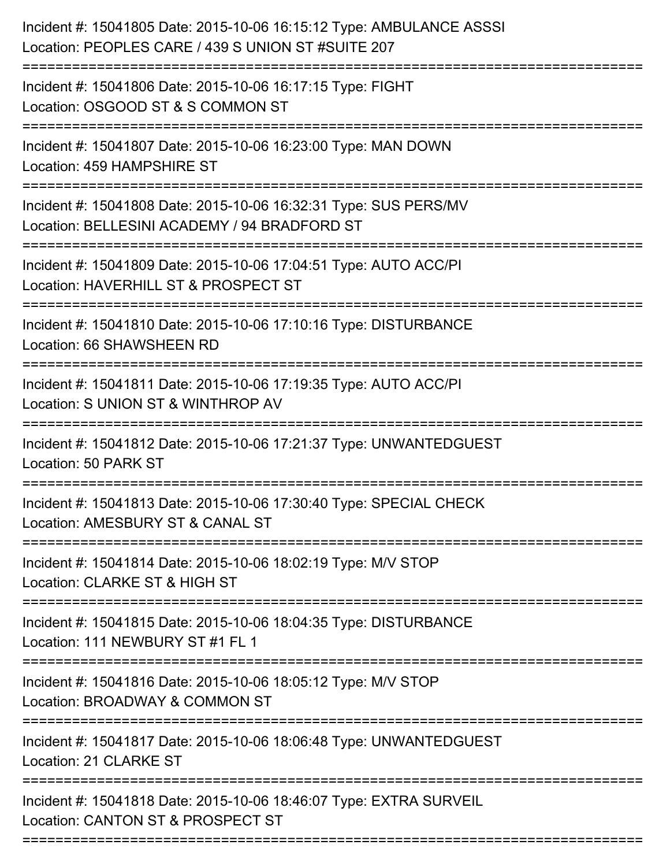| Incident #: 15041805 Date: 2015-10-06 16:15:12 Type: AMBULANCE ASSSI<br>Location: PEOPLES CARE / 439 S UNION ST #SUITE 207                |
|-------------------------------------------------------------------------------------------------------------------------------------------|
| Incident #: 15041806 Date: 2015-10-06 16:17:15 Type: FIGHT<br>Location: OSGOOD ST & S COMMON ST                                           |
| Incident #: 15041807 Date: 2015-10-06 16:23:00 Type: MAN DOWN<br>Location: 459 HAMPSHIRE ST                                               |
| Incident #: 15041808 Date: 2015-10-06 16:32:31 Type: SUS PERS/MV<br>Location: BELLESINI ACADEMY / 94 BRADFORD ST                          |
| Incident #: 15041809 Date: 2015-10-06 17:04:51 Type: AUTO ACC/PI<br>Location: HAVERHILL ST & PROSPECT ST                                  |
| Incident #: 15041810 Date: 2015-10-06 17:10:16 Type: DISTURBANCE<br>Location: 66 SHAWSHEEN RD                                             |
| Incident #: 15041811 Date: 2015-10-06 17:19:35 Type: AUTO ACC/PI<br>Location: S UNION ST & WINTHROP AV                                    |
| Incident #: 15041812 Date: 2015-10-06 17:21:37 Type: UNWANTEDGUEST<br>Location: 50 PARK ST                                                |
| Incident #: 15041813 Date: 2015-10-06 17:30:40 Type: SPECIAL CHECK<br>Location: AMESBURY ST & CANAL ST                                    |
| Incident #: 15041814 Date: 2015-10-06 18:02:19 Type: M/V STOP<br>Location: CLARKE ST & HIGH ST                                            |
| Incident #: 15041815 Date: 2015-10-06 18:04:35 Type: DISTURBANCE<br>Location: 111 NEWBURY ST #1 FL 1                                      |
| Incident #: 15041816 Date: 2015-10-06 18:05:12 Type: M/V STOP<br>Location: BROADWAY & COMMON ST<br>====================================== |
| Incident #: 15041817 Date: 2015-10-06 18:06:48 Type: UNWANTEDGUEST<br>Location: 21 CLARKE ST                                              |
| Incident #: 15041818 Date: 2015-10-06 18:46:07 Type: EXTRA SURVEIL<br>Location: CANTON ST & PROSPECT ST                                   |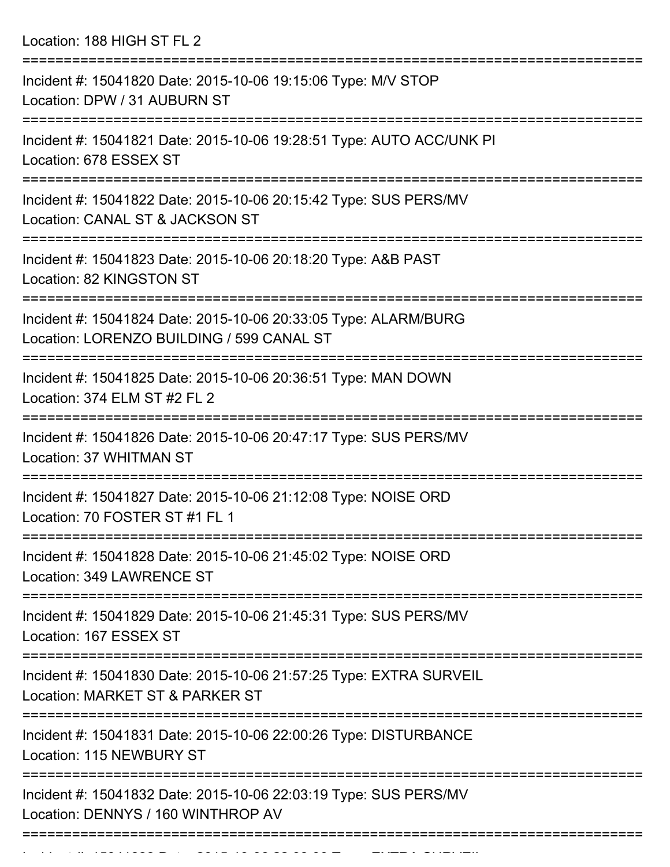Location: 188 HIGH ST FL 2

| Incident #: 15041820 Date: 2015-10-06 19:15:06 Type: M/V STOP<br>Location: DPW / 31 AUBURN ST                |
|--------------------------------------------------------------------------------------------------------------|
| Incident #: 15041821 Date: 2015-10-06 19:28:51 Type: AUTO ACC/UNK PI<br>Location: 678 ESSEX ST               |
| Incident #: 15041822 Date: 2015-10-06 20:15:42 Type: SUS PERS/MV<br>Location: CANAL ST & JACKSON ST          |
| Incident #: 15041823 Date: 2015-10-06 20:18:20 Type: A&B PAST<br>Location: 82 KINGSTON ST                    |
| Incident #: 15041824 Date: 2015-10-06 20:33:05 Type: ALARM/BURG<br>Location: LORENZO BUILDING / 599 CANAL ST |
| Incident #: 15041825 Date: 2015-10-06 20:36:51 Type: MAN DOWN<br>Location: 374 ELM ST #2 FL 2                |
| Incident #: 15041826 Date: 2015-10-06 20:47:17 Type: SUS PERS/MV<br>Location: 37 WHITMAN ST                  |
| Incident #: 15041827 Date: 2015-10-06 21:12:08 Type: NOISE ORD<br>Location: 70 FOSTER ST #1 FL 1             |
| Incident #: 15041828 Date: 2015-10-06 21:45:02 Type: NOISE ORD<br>Location: 349 LAWRENCE ST                  |
| ==============<br>Incident #: 15041829 Date: 2015-10-06 21:45:31 Type: SUS PERS/MV<br>Location: 167 ESSEX ST |
| Incident #: 15041830 Date: 2015-10-06 21:57:25 Type: EXTRA SURVEIL<br>Location: MARKET ST & PARKER ST        |
| Incident #: 15041831 Date: 2015-10-06 22:00:26 Type: DISTURBANCE<br>Location: 115 NEWBURY ST                 |
| Incident #: 15041832 Date: 2015-10-06 22:03:19 Type: SUS PERS/MV<br>Location: DENNYS / 160 WINTHROP AV       |
|                                                                                                              |